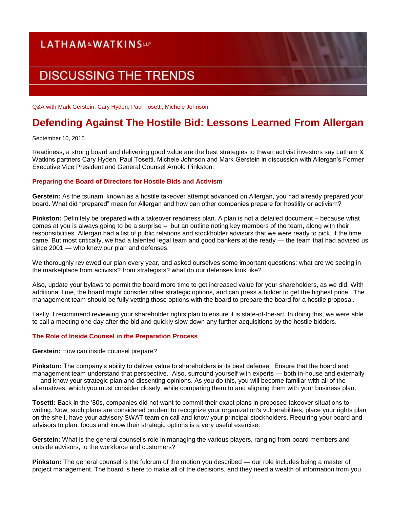# **LATHAM&WATKINSUP DISCUSSING THE TRENDS**

Q&A with Mark Gerstein, Cary Hyden, Paul Tosetti, Michele Johnson

# **Defending Against The Hostile Bid: Lessons Learned From Allergan**

September 10, 2015

Readiness, a strong board and delivering good value are the best strategies to thwart activist investors say Latham & Watkins partners Cary Hyden, Paul Tosetti, Michele Johnson and Mark Gerstein in discussion with Allergan's Former Executive Vice President and General Counsel Arnold Pinkston.

## **Preparing the Board of Directors for Hostile Bids and Activism**

**Gerstein:** As the tsunami known as a hostile takeover attempt advanced on Allergan, you had already prepared your board. What did "prepared" mean for Allergan and how can other companies prepare for hostility or activism?

**Pinkston:** Definitely be prepared with a takeover readiness plan. A plan is not a detailed document – because what comes at you is always going to be a surprise – but an outline noting key members of the team, along with their responsibilities. Allergan had a list of public relations and stockholder advisors that we were ready to pick, if the time came. But most critically, we had a talented legal team and good bankers at the ready — the team that had advised us since 2001 — who knew our plan and defenses.

We thoroughly reviewed our plan every year, and asked ourselves some important questions: what are we seeing in the marketplace from activists? from strategists? what do our defenses look like?

Also, update your bylaws to permit the board more time to get increased value for your shareholders, as we did. With additional time, the board might consider other strategic options, and can press a bidder to get the highest price. The management team should be fully vetting those options with the board to prepare the board for a hostile proposal.

Lastly, I recommend reviewing your shareholder rights plan to ensure it is state-of-the-art. In doing this, we were able to call a meeting one day after the bid and quickly slow down any further acquisitions by the hostile bidders.

## **The Role of Inside Counsel in the Preparation Process**

**Gerstein:** How can inside counsel prepare?

**Pinkston:** The company's ability to deliver value to shareholders is its best defense. Ensure that the board and management team understand that perspective. Also, surround yourself with experts — both in-house and externally — and know your strategic plan and dissenting opinions. As you do this, you will become familiar with all of the alternatives, which you must consider closely, while comparing them to and aligning them with your business plan.

**Tosetti:** Back in the '80s, companies did not want to commit their exact plans in proposed takeover situations to writing. Now, such plans are considered prudent to recognize your organization's vulnerabilities, place your rights plan on the shelf, have your advisory SWAT team on call and know your principal stockholders. Requiring your board and advisors to plan, focus and know their strategic options is a very useful exercise.

**Gerstein:** What is the general counsel's role in managing the various players, ranging from board members and outside advisors, to the workforce and customers?

**Pinkston:** The general counsel is the fulcrum of the motion you described — our role includes being a master of project management. The board is here to make all of the decisions, and they need a wealth of information from you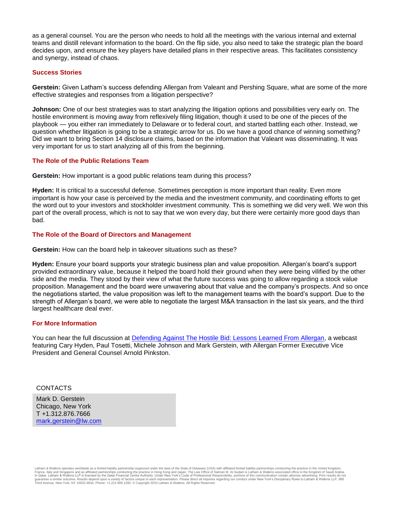as a general counsel. You are the person who needs to hold all the meetings with the various internal and external teams and distill relevant information to the board. On the flip side, you also need to take the strategic plan the board decides upon, and ensure the key players have detailed plans in their respective areas. This facilitates consistency and synergy, instead of chaos.

#### **Success Stories**

**Gerstein:** Given Latham's success defending Allergan from Valeant and Pershing Square, what are some of the more effective strategies and responses from a litigation perspective?

**Johnson:** One of our best strategies was to start analyzing the litigation options and possibilities very early on. The hostile environment is moving away from reflexively filing litigation, though it used to be one of the pieces of the playbook — you either ran immediately to Delaware or to federal court, and started battling each other. Instead, we question whether litigation is going to be a strategic arrow for us. Do we have a good chance of winning something? Did we want to bring Section 14 disclosure claims, based on the information that Valeant was disseminating. It was very important for us to start analyzing all of this from the beginning.

#### **The Role of the Public Relations Team**

**Gerstein:** How important is a good public relations team during this process?

**Hyden:** It is critical to a successful defense. Sometimes perception is more important than reality. Even more important is how your case is perceived by the media and the investment community, and coordinating efforts to get the word out to your investors and stockholder investment community. This is something we did very well. We won this part of the overall process, which is not to say that we won every day, but there were certainly more good days than bad.

#### **The Role of the Board of Directors and Management**

**Gerstein:** How can the board help in takeover situations such as these?

**Hyden:** Ensure your board supports your strategic business plan and value proposition. Allergan's board's support provided extraordinary value, because it helped the board hold their ground when they were being vilified by the other side and the media. They stood by their view of what the future success was going to allow regarding a stock value proposition. Management and the board were unwavering about that value and the company's prospects. And so once the negotiations started, the value proposition was left to the management teams with the board's support. Due to the strength of Allergan's board, we were able to negotiate the largest M&A transaction in the last six years, and the third largest healthcare deal ever.

#### **For More Information**

You can hear the full discussion at **Defending Against The Hostile Bid: Lessons Learned From Allergan**, a webcast featuring Cary Hyden, Paul Tosetti, Michele Johnson and Mark Gerstein, with Allergan Former Executive Vice President and General Counsel Arnold Pinkston.

#### CONTACTS

Mark D. Gerstein Chicago, New York T +1.312.876.7666 [mark.gerstein@lw.com](mailto:mark.gerstein@lw.com)

Latham & Watkins operates worldwide as a limited liability partnership organized under the laws of the State of Delaware (USA) with affiliated limited liability partnerships conducting the practice in the United Kingdom France, Italy and Singapore and as affiliated partnerships conducting the practice in Hong Kong and Japan. The Law Office of Salman M. Al-Sudairi is Latham & Watkins associated office in the Kingdom of Saudi Arabia.<br>In Qat